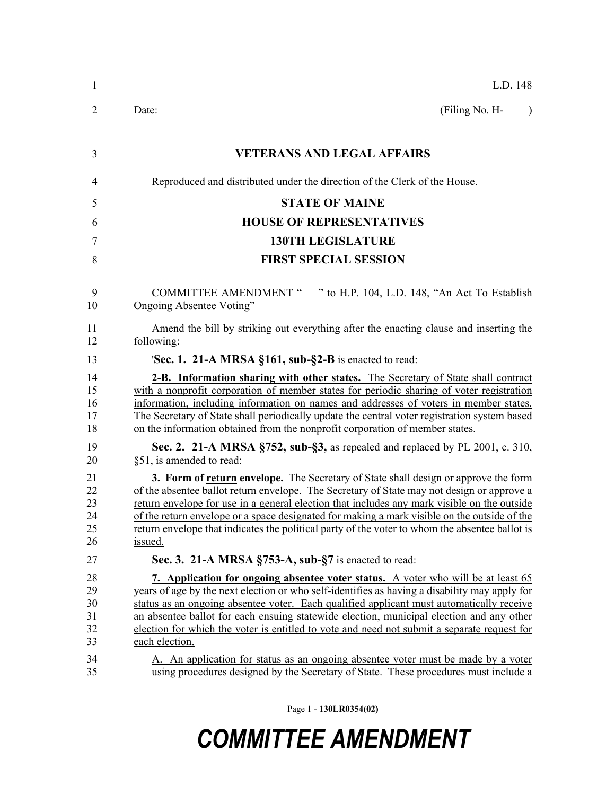| $\mathbf{1}$                           | L.D. 148                                                                                                                                                                                                                                                                                                                                                                                                                                                                                                                                                                         |  |  |  |
|----------------------------------------|----------------------------------------------------------------------------------------------------------------------------------------------------------------------------------------------------------------------------------------------------------------------------------------------------------------------------------------------------------------------------------------------------------------------------------------------------------------------------------------------------------------------------------------------------------------------------------|--|--|--|
| 2                                      | (Filing No. H-<br>Date:<br>$\lambda$                                                                                                                                                                                                                                                                                                                                                                                                                                                                                                                                             |  |  |  |
| 3                                      | <b>VETERANS AND LEGAL AFFAIRS</b>                                                                                                                                                                                                                                                                                                                                                                                                                                                                                                                                                |  |  |  |
| $\overline{4}$                         | Reproduced and distributed under the direction of the Clerk of the House.                                                                                                                                                                                                                                                                                                                                                                                                                                                                                                        |  |  |  |
| 5                                      | <b>STATE OF MAINE</b>                                                                                                                                                                                                                                                                                                                                                                                                                                                                                                                                                            |  |  |  |
| 6                                      | <b>HOUSE OF REPRESENTATIVES</b>                                                                                                                                                                                                                                                                                                                                                                                                                                                                                                                                                  |  |  |  |
| 7                                      | <b>130TH LEGISLATURE</b>                                                                                                                                                                                                                                                                                                                                                                                                                                                                                                                                                         |  |  |  |
| 8                                      | <b>FIRST SPECIAL SESSION</b>                                                                                                                                                                                                                                                                                                                                                                                                                                                                                                                                                     |  |  |  |
| 9<br>10                                | <b>COMMITTEE AMENDMENT "</b><br>" to H.P. 104, L.D. 148, "An Act To Establish<br>Ongoing Absentee Voting"                                                                                                                                                                                                                                                                                                                                                                                                                                                                        |  |  |  |
| 11<br>12                               | Amend the bill by striking out everything after the enacting clause and inserting the<br>following:                                                                                                                                                                                                                                                                                                                                                                                                                                                                              |  |  |  |
| 13                                     | 'Sec. 1. 21-A MRSA §161, sub-§2-B is enacted to read:                                                                                                                                                                                                                                                                                                                                                                                                                                                                                                                            |  |  |  |
| 14<br>15<br>16<br>17<br>18             | <b>2-B.</b> Information sharing with other states. The Secretary of State shall contract<br>with a nonprofit corporation of member states for periodic sharing of voter registration<br>information, including information on names and addresses of voters in member states.<br>The Secretary of State shall periodically update the central voter registration system based<br>on the information obtained from the nonprofit corporation of member states.                                                                                                                    |  |  |  |
| 19<br>20                               | Sec. 2. 21-A MRSA §752, sub-§3, as repealed and replaced by PL 2001, c. 310,<br>§51, is amended to read:                                                                                                                                                                                                                                                                                                                                                                                                                                                                         |  |  |  |
| 21<br>22<br>23<br>24<br>25<br>26       | 3. Form of return envelope. The Secretary of State shall design or approve the form<br>of the absentee ballot <u>return</u> envelope. The Secretary of State may not design or approve a<br>return envelope for use in a general election that includes any mark visible on the outside<br>of the return envelope or a space designated for making a mark visible on the outside of the<br>return envelope that indicates the political party of the voter to whom the absentee ballot is<br>issued.                                                                             |  |  |  |
| 27                                     | Sec. 3. 21-A MRSA §753-A, sub-§7 is enacted to read:                                                                                                                                                                                                                                                                                                                                                                                                                                                                                                                             |  |  |  |
| 28<br>29<br>30<br>31<br>32<br>33<br>34 | 7. Application for ongoing absentee voter status. A voter who will be at least 65<br>years of age by the next election or who self-identifies as having a disability may apply for<br>status as an ongoing absentee voter. Each qualified applicant must automatically receive<br>an absentee ballot for each ensuing statewide election, municipal election and any other<br>election for which the voter is entitled to vote and need not submit a separate request for<br>each election.<br>A. An application for status as an ongoing absentee voter must be made by a voter |  |  |  |
| 35                                     | using procedures designed by the Secretary of State. These procedures must include a                                                                                                                                                                                                                                                                                                                                                                                                                                                                                             |  |  |  |

Page 1 - **130LR0354(02)**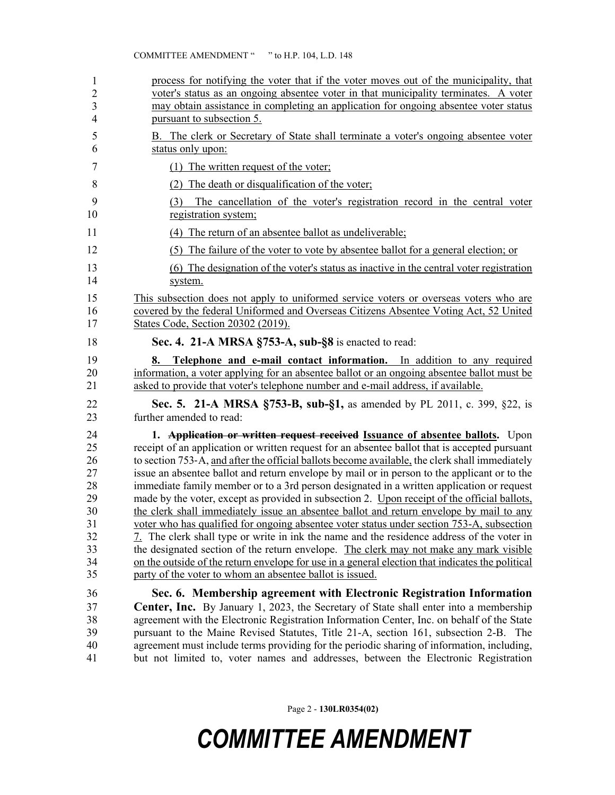| 1<br>$\overline{2}$<br>3<br>$\overline{4}$                           | process for notifying the voter that if the voter moves out of the municipality, that<br>voter's status as an ongoing absentee voter in that municipality terminates. A voter<br>may obtain assistance in completing an application for ongoing absentee voter status<br>pursuant to subsection 5.                                                                                                                                                                                                                                                                                                                                                                                                                                                                                                                                                                                                                                                                                                                                                                                                                                   |  |  |  |
|----------------------------------------------------------------------|--------------------------------------------------------------------------------------------------------------------------------------------------------------------------------------------------------------------------------------------------------------------------------------------------------------------------------------------------------------------------------------------------------------------------------------------------------------------------------------------------------------------------------------------------------------------------------------------------------------------------------------------------------------------------------------------------------------------------------------------------------------------------------------------------------------------------------------------------------------------------------------------------------------------------------------------------------------------------------------------------------------------------------------------------------------------------------------------------------------------------------------|--|--|--|
| 5<br>6                                                               | B. The clerk or Secretary of State shall terminate a voter's ongoing absentee voter<br>status only upon:                                                                                                                                                                                                                                                                                                                                                                                                                                                                                                                                                                                                                                                                                                                                                                                                                                                                                                                                                                                                                             |  |  |  |
| $\tau$                                                               | (1) The written request of the voter;                                                                                                                                                                                                                                                                                                                                                                                                                                                                                                                                                                                                                                                                                                                                                                                                                                                                                                                                                                                                                                                                                                |  |  |  |
| 8                                                                    | (2) The death or disqualification of the voter;                                                                                                                                                                                                                                                                                                                                                                                                                                                                                                                                                                                                                                                                                                                                                                                                                                                                                                                                                                                                                                                                                      |  |  |  |
| 9<br>10                                                              | The cancellation of the voter's registration record in the central voter<br>(3)<br>registration system;                                                                                                                                                                                                                                                                                                                                                                                                                                                                                                                                                                                                                                                                                                                                                                                                                                                                                                                                                                                                                              |  |  |  |
| 11                                                                   | (4) The return of an absentee ballot as undeliverable;                                                                                                                                                                                                                                                                                                                                                                                                                                                                                                                                                                                                                                                                                                                                                                                                                                                                                                                                                                                                                                                                               |  |  |  |
| 12                                                                   | (5) The failure of the voter to vote by absentee ballot for a general election; or                                                                                                                                                                                                                                                                                                                                                                                                                                                                                                                                                                                                                                                                                                                                                                                                                                                                                                                                                                                                                                                   |  |  |  |
| 13<br>14                                                             | (6) The designation of the voter's status as inactive in the central voter registration<br>system.                                                                                                                                                                                                                                                                                                                                                                                                                                                                                                                                                                                                                                                                                                                                                                                                                                                                                                                                                                                                                                   |  |  |  |
| 15<br>16<br>17                                                       | This subsection does not apply to uniformed service voters or overseas voters who are<br>covered by the federal Uniformed and Overseas Citizens Absentee Voting Act, 52 United<br>States Code, Section 20302 (2019).                                                                                                                                                                                                                                                                                                                                                                                                                                                                                                                                                                                                                                                                                                                                                                                                                                                                                                                 |  |  |  |
| 18                                                                   | Sec. 4. 21-A MRSA §753-A, sub-§8 is enacted to read:                                                                                                                                                                                                                                                                                                                                                                                                                                                                                                                                                                                                                                                                                                                                                                                                                                                                                                                                                                                                                                                                                 |  |  |  |
| 19<br>20<br>21                                                       | Telephone and e-mail contact information. In addition to any required<br>8.<br>information, a voter applying for an absentee ballot or an ongoing absentee ballot must be<br>asked to provide that voter's telephone number and e-mail address, if available.                                                                                                                                                                                                                                                                                                                                                                                                                                                                                                                                                                                                                                                                                                                                                                                                                                                                        |  |  |  |
| 22<br>23                                                             | Sec. 5. 21-A MRSA §753-B, sub-§1, as amended by PL 2011, c. 399, §22, is<br>further amended to read:                                                                                                                                                                                                                                                                                                                                                                                                                                                                                                                                                                                                                                                                                                                                                                                                                                                                                                                                                                                                                                 |  |  |  |
| 24<br>25<br>26<br>27<br>28<br>29<br>30<br>31<br>32<br>33<br>34<br>35 | 1. <b>Application or written request received Issuance of absentee ballots.</b> Upon<br>receipt of an application or written request for an absentee ballot that is accepted pursuant<br>to section 753-A, and after the official ballots become available, the clerk shall immediately<br>issue an absentee ballot and return envelope by mail or in person to the applicant or to the<br>immediate family member or to a 3rd person designated in a written application or request<br>made by the voter, except as provided in subsection 2. Upon receipt of the official ballots,<br>the clerk shall immediately issue an absentee ballot and return envelope by mail to any<br>voter who has qualified for ongoing absentee voter status under section 753-A, subsection<br>7. The clerk shall type or write in ink the name and the residence address of the voter in<br>the designated section of the return envelope. The clerk may not make any mark visible<br>on the outside of the return envelope for use in a general election that indicates the political<br>party of the voter to whom an absentee ballot is issued. |  |  |  |
| 36                                                                   | Sec. 6. Membership agreement with Electronic Registration Information                                                                                                                                                                                                                                                                                                                                                                                                                                                                                                                                                                                                                                                                                                                                                                                                                                                                                                                                                                                                                                                                |  |  |  |
| 37                                                                   |                                                                                                                                                                                                                                                                                                                                                                                                                                                                                                                                                                                                                                                                                                                                                                                                                                                                                                                                                                                                                                                                                                                                      |  |  |  |
|                                                                      | Center, Inc. By January 1, 2023, the Secretary of State shall enter into a membership                                                                                                                                                                                                                                                                                                                                                                                                                                                                                                                                                                                                                                                                                                                                                                                                                                                                                                                                                                                                                                                |  |  |  |
| 38                                                                   | agreement with the Electronic Registration Information Center, Inc. on behalf of the State                                                                                                                                                                                                                                                                                                                                                                                                                                                                                                                                                                                                                                                                                                                                                                                                                                                                                                                                                                                                                                           |  |  |  |
| 39<br>40                                                             | pursuant to the Maine Revised Statutes, Title 21-A, section 161, subsection 2-B. The<br>agreement must include terms providing for the periodic sharing of information, including,                                                                                                                                                                                                                                                                                                                                                                                                                                                                                                                                                                                                                                                                                                                                                                                                                                                                                                                                                   |  |  |  |

Page 2 - **130LR0354(02)**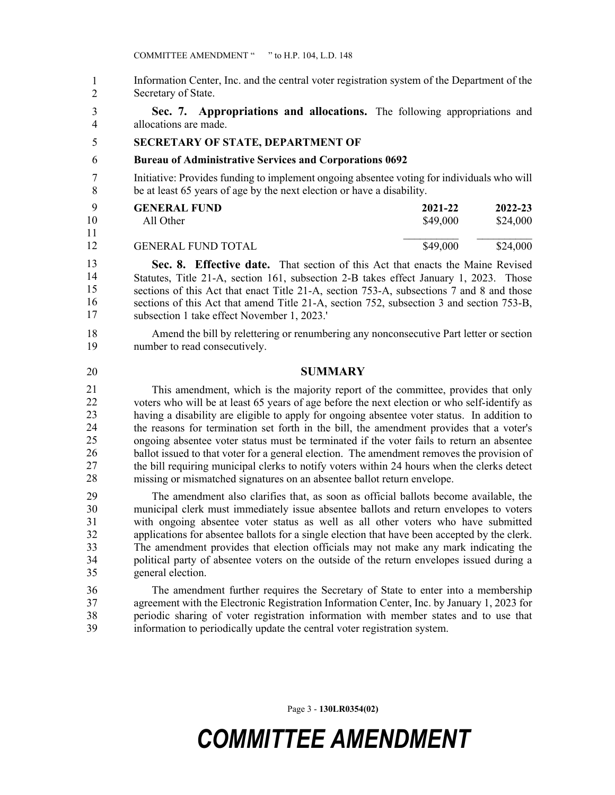Information Center, Inc. and the central voter registration system of the Department of the Secretary of State. 1 2

3 **Sec. 7. Appropriations and allocations.** The following appropriations and 4 allocations are made.

#### 5 **SECRETARY OF STATE, DEPARTMENT OF**

#### 6 **Bureau of Administrative Services and Corporations 0692**

7 Initiative: Provides funding to implement ongoing absentee voting for individuals who will 8 be at least 65 years of age by the next election or have a disability.

| Q  | <b>GENERAL FUND</b>       | 2021-22  | 2022-23  |
|----|---------------------------|----------|----------|
| 10 | All Other                 | \$49,000 | \$24,000 |
| 11 |                           |          |          |
| 12 | <b>GENERAL FUND TOTAL</b> | \$49,000 | \$24,000 |

**Sec. 8. Effective date.** That section of this Act that enacts the Maine Revised Statutes, Title 21-A, section 161, subsection 2-B takes effect January 1, 2023. Those sections of this Act that enact Title 21-A, section 753-A, subsections 7 and 8 and those sections of this Act that amend Title 21-A, section 752, subsection 3 and section 753-B, subsection 1 take effect November 1, 2023.' 13 14 15 16 17

18 Amend the bill by relettering or renumbering any nonconsecutive Part letter or section 19 number to read consecutively.

#### 20 **SUMMARY**

This amendment, which is the majority report of the committee, provides that only voters who will be at least 65 years of age before the next election or who self-identify as having a disability are eligible to apply for ongoing absentee voter status. In addition to the reasons for termination set forth in the bill, the amendment provides that a voter's 25 ongoing absentee voter status must be terminated if the voter fails to return an absentee ballot issued to that voter for a general election. The amendment removes the provision of 27 the bill requiring municipal clerks to notify voters within 24 hours when the clerks detect missing or mismatched signatures on an absentee ballot return envelope. 21 22 23 24 25 26 27 28

29 The amendment also clarifies that, as soon as official ballots become available, the 30 municipal clerk must immediately issue absentee ballots and return envelopes to voters 31 with ongoing absentee voter status as well as all other voters who have submitted 32 applications for absentee ballots for a single election that have been accepted by the clerk. 33 The amendment provides that election officials may not make any mark indicating the 34 political party of absentee voters on the outside of the return envelopes issued during a 35 general election.

36 The amendment further requires the Secretary of State to enter into a membership 37 agreement with the Electronic Registration Information Center, Inc. by January 1, 2023 for 38 periodic sharing of voter registration information with member states and to use that 39 information to periodically update the central voter registration system.

Page 3 - **130LR0354(02)**